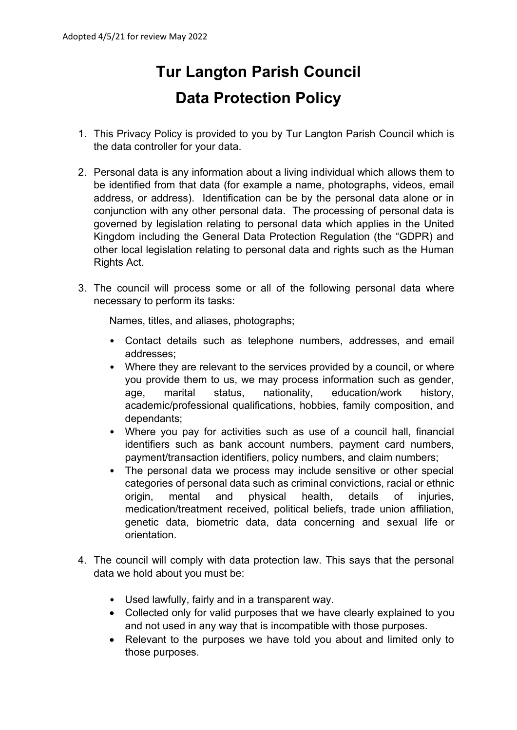## **Tur Langton Parish Council Data Protection Policy**

- 1. This Privacy Policy is provided to you by Tur Langton Parish Council which is the data controller for your data.
- 2. Personal data is any information about a living individual which allows them to be identified from that data (for example a name, photographs, videos, email address, or address). Identification can be by the personal data alone or in conjunction with any other personal data. The processing of personal data is governed by legislation relating to personal data which applies in the United Kingdom including the General Data Protection Regulation (the "GDPR) and other local legislation relating to personal data and rights such as the Human Rights Act.
- 3. The council will process some or all of the following personal data where necessary to perform its tasks:

Names, titles, and aliases, photographs;

- Contact details such as telephone numbers, addresses, and email addresses;
- Where they are relevant to the services provided by a council, or where you provide them to us, we may process information such as gender, age, marital status, nationality, education/work history, academic/professional qualifications, hobbies, family composition, and dependants;
- Where you pay for activities such as use of a council hall, financial identifiers such as bank account numbers, payment card numbers, payment/transaction identifiers, policy numbers, and claim numbers;
- The personal data we process may include sensitive or other special categories of personal data such as criminal convictions, racial or ethnic origin, mental and physical health, details of injuries, medication/treatment received, political beliefs, trade union affiliation, genetic data, biometric data, data concerning and sexual life or orientation.
- 4. The council will comply with data protection law. This says that the personal data we hold about you must be:
	- Used lawfully, fairly and in a transparent way.
	- Collected only for valid purposes that we have clearly explained to you and not used in any way that is incompatible with those purposes.
	- Relevant to the purposes we have told you about and limited only to those purposes.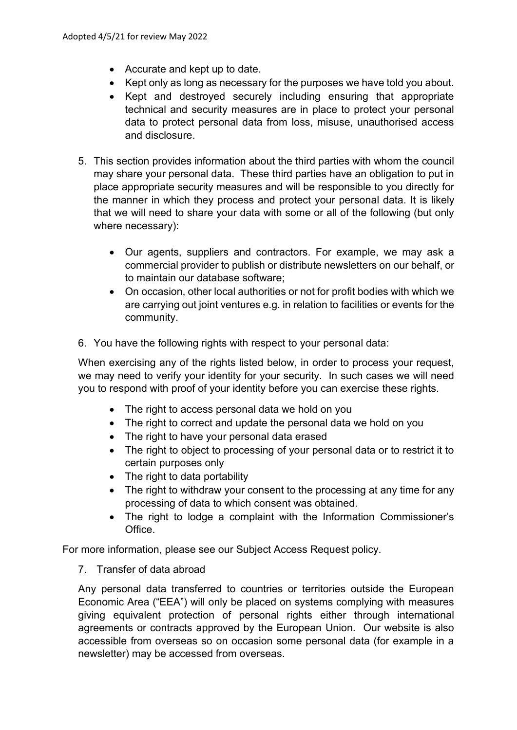- Accurate and kept up to date.
- Kept only as long as necessary for the purposes we have told you about.
- Kept and destroyed securely including ensuring that appropriate technical and security measures are in place to protect your personal data to protect personal data from loss, misuse, unauthorised access and disclosure.
- 5. This section provides information about the third parties with whom the council may share your personal data. These third parties have an obligation to put in place appropriate security measures and will be responsible to you directly for the manner in which they process and protect your personal data. It is likely that we will need to share your data with some or all of the following (but only where necessary):
	- Our agents, suppliers and contractors. For example, we may ask a commercial provider to publish or distribute newsletters on our behalf, or to maintain our database software;
	- On occasion, other local authorities or not for profit bodies with which we are carrying out joint ventures e.g. in relation to facilities or events for the community.
- 6. You have the following rights with respect to your personal data:

When exercising any of the rights listed below, in order to process your request, we may need to verify your identity for your security. In such cases we will need you to respond with proof of your identity before you can exercise these rights.

- The right to access personal data we hold on you
- The right to correct and update the personal data we hold on you
- The right to have your personal data erased
- The right to object to processing of your personal data or to restrict it to certain purposes only
- The right to data portability
- The right to withdraw your consent to the processing at any time for any processing of data to which consent was obtained.
- The right to lodge a complaint with the Information Commissioner's Office.

For more information, please see our Subject Access Request policy.

7. Transfer of data abroad

Any personal data transferred to countries or territories outside the European Economic Area ("EEA") will only be placed on systems complying with measures giving equivalent protection of personal rights either through international agreements or contracts approved by the European Union. Our website is also accessible from overseas so on occasion some personal data (for example in a newsletter) may be accessed from overseas.